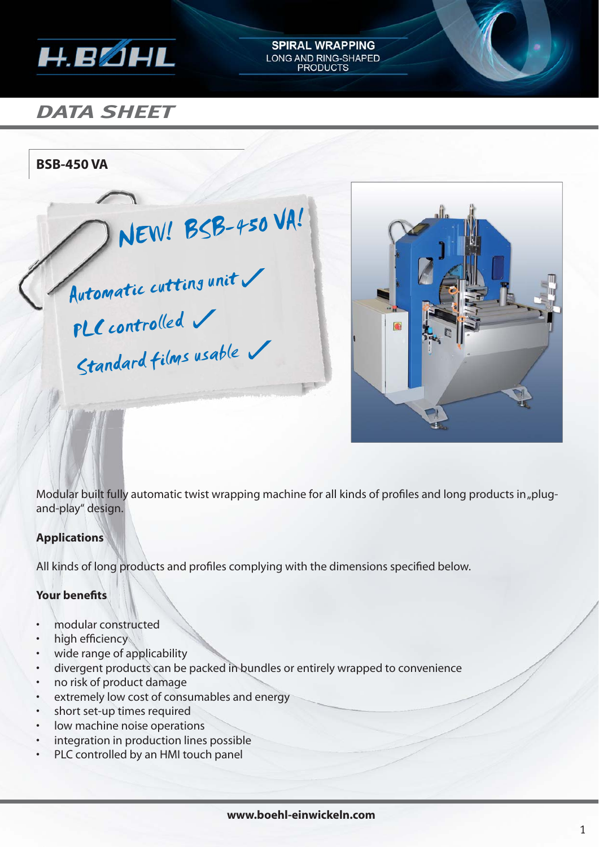

# *DATA SHEET*

**BSB-450 VA**

 NEW! BSB-450 VA! Automatic cutting unit PLC controlled Standard films usable



Modular built fully automatic twist wrapping machine for all kinds of profiles and long products in "plugand-play" design.

**SPIRAL WRAPPING** LONG AND RING-SHAPED<br>PRODUCTS

## **Applications**

All kinds of long products and profiles complying with the dimensions specified below.

### **Your benefits**

- modular constructed
- high efficiency
- wide range of applicability
- divergent products can be packed in bundles or entirely wrapped to convenience
- no risk of product damage
- extremely low cost of consumables and energy
- short set-up times required
- low machine noise operations
- integration in production lines possible
- PLC controlled by an HMI touch panel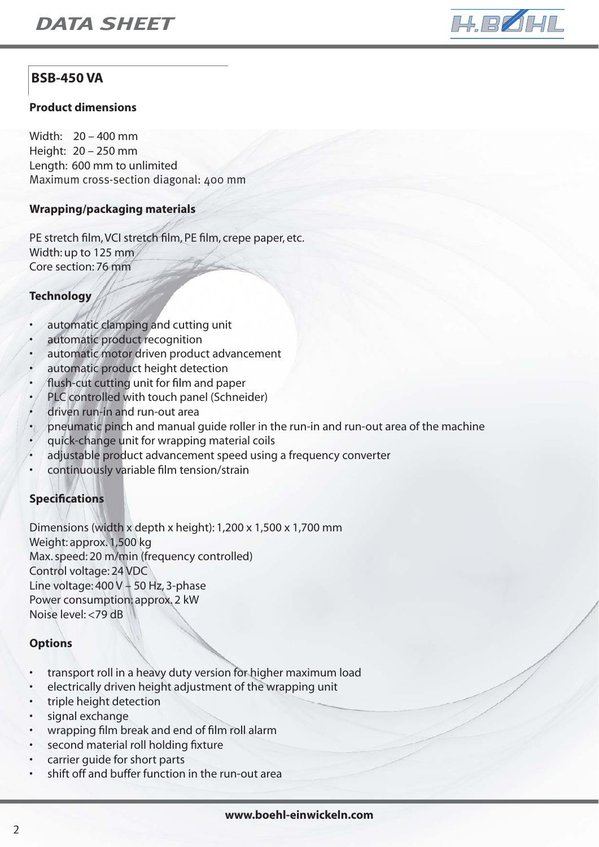

# **BSB-450 VA**

#### **Product dimensions**

Width: 20 – 400 mm Height: 20 – 250 mm Length: 600 mm to unlimited Maximum cross-section diagonal: 400 mm

#### **Wrapping/packaging materials**

PE stretch film, VCI stretch film, PE film, crepe paper, etc. Width: up to 125 mm Core section: 76 mm

#### **Technology**

- automatic clamping and cutting unit
- automatic product recognition
- automatic motor driven product advancement
- automatic product height detection
- flush-cut cutting unit for film and paper
- PLC controlled with touch panel (Schneider)
- driven run-in and run-out area
- pneumatic pinch and manual guide roller in the run-in and run-out area of the machine
- quick-change unit for wrapping material coils
- adjustable product advancement speed using a frequency converter
- continuously variable film tension/strain

#### **Specifi cations**

Dimensions (width x depth x height): 1,200 x 1,500 x 1,700 mm Weight: approx. 1,500 kg Max. speed: 20 m/min (frequency controlled) Control voltage: 24 VDC Line voltage: 400 V – 50 Hz, 3-phase Power consumption: approx. 2 kW Noise level: <79 dB

#### **Options**

- transport roll in a heavy duty version for higher maximum load
- electrically driven height adjustment of the wrapping unit
- triple height detection
- signal exchange
- wrapping film break and end of film roll alarm
- second material roll holding fixture
- carrier quide for short parts
- shift off and buffer function in the run-out area